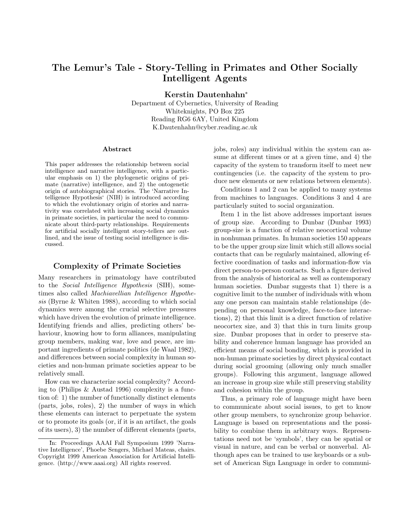# **The Lemur's Tale - Story-Telling in Primates and Other Socially Intelligent Agents**

**Kerstin Dautenhahn**<sup>∗</sup>

Department of Cybernetics, University of Reading Whiteknights, PO Box 225 Reading RG6 6AY, United Kingdom K.Dautenhahn@cyber.reading.ac.uk

#### **Abstract**

This paper addresses the relationship between social intelligence and narrative intelligence, with a particular emphasis on 1) the phylogenetic origins of primate (narrative) intelligence, and 2) the ontogenetic origin of autobiographical stories. The 'Narrative Intelligence Hypothesis' (NIH) is introduced according to which the evolutionary origin of stories and narrativity was correlated with increasing social dynamics in primate societies, in particular the need to communicate about third-party relationships. Requirements for artificial socially intelligent story-tellers are outlined, and the issue of testing social intelligence is discussed.

#### **Complexity of Primate Societies**

Many researchers in primatology have contributed to the Social Intelligence Hypothesis (SIH), sometimes also called Machiavellian Intelligence Hypothesis (Byrne & Whiten 1988), according to which social dynamics were among the crucial selective pressures which have driven the evolution of primate intelligence. Identifying friends and allies, predicting others' behaviour, knowing how to form alliances, manipulating group members, making war, love and peace, are important ingredients of primate politics (de Waal 1982), and differences between social complexity in human societies and non-human primate societies appear to be relatively small.

How can we characterize social complexity? According to (Philips & Austad 1996) complexity is a function of: 1) the number of functionally distinct elements (parts, jobs, roles), 2) the number of ways in which these elements can interact to perpetuate the system or to promote its goals (or, if it is an artifact, the goals of its users), 3) the number of different elements (parts, jobs, roles) any individual within the system can assume at different times or at a given time, and 4) the capacity of the system to transform itself to meet new contingencies (i.e. the capacity of the system to produce new elements or new relations between elements).

Conditions 1 and 2 can be applied to many systems from machines to languages. Conditions 3 and 4 are particularly suited to social organization.

Item 1 in the list above addresses important issues of group size. According to Dunbar (Dunbar 1993) group-size is a function of relative neocortical volume in nonhuman primates. In human societies 150 appears to be the upper group size limit which still allows social contacts that can be regularly maintained, allowing effective coordination of tasks and information-flow via direct person-to-person contacts. Such a figure derived from the analysis of historical as well as contemporary human societies. Dunbar suggests that 1) there is a cognitive limit to the number of individuals with whom any one person can maintain stable relationships (depending on personal knowledge, face-to-face interactions), 2) that this limit is a direct function of relative neocortex size, and 3) that this in turn limits group size. Dunbar proposes that in order to preserve stability and coherence human language has provided an efficient means of social bonding, which is provided in non-human primate societies by direct physical contact during social grooming (allowing only much smaller groups). Following this argument, language allowed an increase in group size while still preserving stability and cohesion within the group.

Thus, a primary role of language might have been to communicate about social issues, to get to know other group members, to synchronize group behavior. Language is based on representations and the possibility to combine them in arbitrary ways. Representations need not be 'symbols', they can be spatial or visual in nature, and can be verbal or nonverbal. Although apes can be trained to use keyboards or a subset of American Sign Language in order to communi-

<sup>∗</sup> In: Proceedings AAAI Fall Symposium 1999 'Narrative Intelligence', Phoebe Sengers, Michael Mateas, chairs. Copyright 1999 American Association for Artificial Intelligence. (http://www.aaai.org) All rights reserved.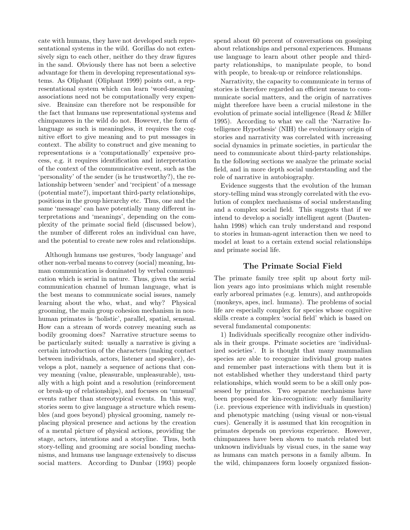cate with humans, they have not developed such representational systems in the wild. Gorillas do not extensively sign to each other, neither do they draw figures in the sand. Obviously there has not been a selective advantage for them in developing representational systems. As Oliphant (Oliphant 1999) points out, a representational system which can learn 'word-meaning' associations need not be computationally very expensive. Brainsize can therefore not be responsible for the fact that humans use representational systems and chimpanzees in the wild do not. However, the form of language as such is meaningless, it requires the cognitive effort to give meaning and to put messages in context. The ability to construct and give meaning to representations is a 'computationally' expensive process, e.g. it requires identification and interpretation of the context of the communicative event, such as the 'personality' of the sender (is he trustworthy?), the relationship between 'sender' and 'recipient' of a message (potential mate?), important third-party relationships, positions in the group hierarchy etc. Thus, one and the same 'message' can have potentially many different interpretations and 'meanings', depending on the complexity of the primate social field (discussed below), the number of different roles an individual can have, and the potential to create new roles and relationships.

Although humans use gestures, 'body language' and other non-verbal means to convey (social) meaning, human communication is dominated by verbal communication which is serial in nature. Thus, given the serial communication channel of human language, what is the best means to communicate social issues, namely learning about the who, what, and why? Physical grooming, the main group cohesion mechanism in nonhuman primates is 'holistic', parallel, spatial, sensual. How can a stream of words convey meaning such as bodily grooming does? Narrative structure seems to be particularly suited: usually a narrative is giving a certain introduction of the characters (making contact between individuals, actors, listener and speaker), develops a plot, namely a sequence of actions that convey meaning (value, pleasurable, unpleasurable), usually with a high point and a resolution (reinforcement or break-up of relationships), and focuses on 'unusual' events rather than stereotypical events. In this way, stories seem to give language a structure which resembles (and goes beyond) physical grooming, namely replacing physical presence and actions by the creation of a mental picture of physical actions, providing the stage, actors, intentions and a storyline. Thus, both story-telling and grooming are social bonding mechanisms, and humans use language extensively to discuss social matters. According to Dunbar (1993) people spend about 60 percent of conversations on gossiping about relationships and personal experiences. Humans use language to learn about other people and thirdparty relationships, to manipulate people, to bond with people, to break-up or reinforce relationships.

Narrativity, the capacity to communicate in terms of stories is therefore regarded an efficient means to communicate social matters, and the origin of narratives might therefore have been a crucial milestone in the evolution of primate social intelligence (Read & Miller 1995). According to what we call the 'Narrative Intelligence Hypothesis' (NIH) the evolutionary origin of stories and narrativity was correlated with increasing social dynamics in primate societies, in particular the need to communicate about third-party relationships. In the following sections we analyze the primate social field, and in more depth social understanding and the role of narrative in autobiography.

Evidence suggests that the evolution of the human story-telling mind was strongly correlated with the evolution of complex mechanisms of social understanding and a complex social field. This suggests that if we intend to develop a socially intelligent agent (Dautenhahn 1998) which can truly understand and respond to stories in human-agent interaction then we need to model at least to a certain extend social relationships and primate social life.

## **The Primate Social Field**

The primate family tree split up about forty million years ago into prosimians which might resemble early arboreal primates (e.g. lemurs), and anthropoids (monkeys, apes, incl. humans). The problems of social life are especially complex for species whose cognitive skills create a complex 'social field' which is based on several fundamental components:

1) Individuals specifically recognize other individuals in their groups. Primate societies are 'individualized societies'. It is thought that many mammalian species are able to recognize individual group mates and remember past interactions with them but it is not established whether they understand third party relationships, which would seem to be a skill only possessed by primates. Two separate mechanisms have been proposed for kin-recognition: early familiarity (i.e. previous experience with individuals in question) and phenotypic matching (using visual or non-visual cues). Generally it is assumed that kin recognition in primates depends on previous experience. However, chimpanzees have been shown to match related but unknown individuals by visual cues, in the same way as humans can match persons in a family album. In the wild, chimpanzees form loosely organized fission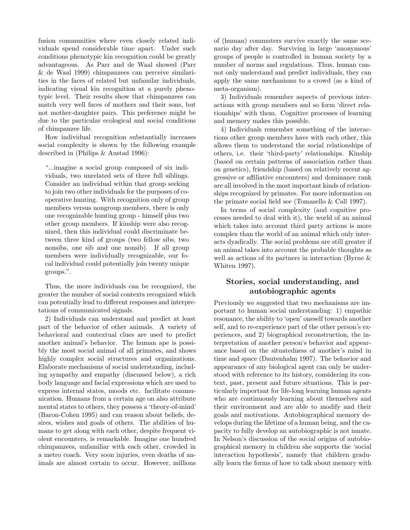fusion communities where even closely related individuals spend considerable time apart. Under such conditions phenotypic kin recognition could be greatly advantageous. As Parr and de Waal showed (Parr & de Waal 1999) chimpanzees can perceive similarities in the faces of related but unfamilar individuals, indicating visual kin recognition at a purely phenotypic level. Their results show that chimpanzees can match very well faces of mothers and their sons, but not mother-daughter pairs. This preference might be due to the particular ecological and social conditions of chimpanzee life.

How individual recognition substantially increases social complexity is shown by the following example described in (Philips & Austad 1996):

"...imagine a social group composed of six individuals, two unrelated sets of three full siblings. Consider an individual within that group seeking to join two other individuals for the purposes of cooperative hunting. With recognition only of group members versus nongroup members, there is only one recognizable hunting group - himself plus two other group members. If kinship were also recognized, then this individual could discriminate between three kind of groups (two fellow sibs, two nonsibs, one sib and one nonsib). If all group members were individually recognizable, our focal individual could potentially join twenty unique groups.".

Thus, the more individuals can be recognized, the greater the number of social contexts recognized which can potentially lead to different responses and interpretations of communicated signals.

2) Individuals can understand and predict at least part of the behavior of other animals. A variety of behavioral and contextual clues are used to predict another animal's behavior. The human ape is possibly the most social animal of all primates, and shows highly complex social structures and organizations. Elaborate mechanisms of social understanding, including sympathy and empathy (discussed below), a rich body language and facial expressions which are used to express internal states, moods etc. facilitate communication. Humans from a certain age on also attribute mental states to others, they possess a 'theory-of-mind' (Baron-Cohen 1995) and can reason about beliefs, desires, wishes and goals of others. The abilities of humans to get along with each other, despite frequent violent encounters, is remarkable. Imagine one hundred chimpanzees, unfamiliar with each other, crowded in a metro coach. Very soon injuries, even deaths of animals are almost certain to occur. However, millions

of (human) commuters survive exactly the same scenario day after day. Surviving in large 'anonymous' groups of people is controlled in human society by a number of norms and regulations. Thus, human cannot only understand and predict individuals, they can apply the same mechanisms to a crowd (as a kind of meta-organism).

3) Individuals remember aspects of previous interactions with group members and so form 'direct relationships' with them. Cognitive processes of learning and memory makes this possible.

4) Individuals remember something of the interactions other group members have with each other, this allows them to understand the social relationships of others, i.e. their 'third-party' relationships. Kinship (based on certain patterns of association rather than on genetics), friendship (based on relatively recent aggressive or affiliative encounters) and dominance rank are all involved in the most important kinds of relationships recognized by primates. For more information on the primate social field see (Tomasello & Call 1997).

In terms of social complexity (and cognitive processes needed to deal with it), the world of an animal which takes into account third party actions is more complex than the world of an animal which only interacts dyadically. The social problems are still greater if an animal takes into account the probable thoughts as well as actions of its partners in interaction (Byrne & Whiten 1997).

# **Stories, social understanding, and autobiographic agents**

Previously we suggested that two mechanisms are important to human social understanding: 1) empathic resonance, the ability to 'open' oneself towards another self, and to re-experience part of the other person's experiences, and 2) biographical reconstruction, the interpretation of another person's behavior and appearance based on the situatedness of another's mind in time and space (Dautenhahn 1997). The behavior and appearance of any biological agent can only be understood with reference to its history, considering its context, past, present and future situations. This is particularly important for life-long learning human agents who are continuously learning about themselves and their environment and are able to modify and their goals and motivations. Autobiographical memory develops during the lifetime of a human being, and the capacity to fully develop an autobiographic is not innate. In Nelson's discussion of the social origins of autobiographical memory in children she supports the 'social interaction hypothesis', namely that children gradually learn the forms of how to talk about memory with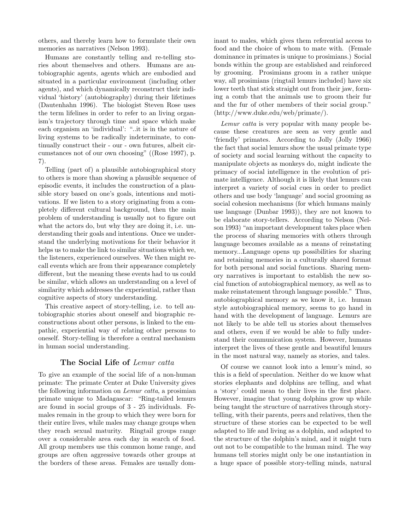others, and thereby learn how to formulate their own memories as narratives (Nelson 1993).

Humans are constantly telling and re-telling stories about themselves and others. Humans are autobiographic agents, agents which are embodied and situated in a particular environment (including other agents), and which dynamically reconstruct their individual 'history' (autobiography) during their lifetimes (Dautenhahn 1996). The biologist Steven Rose uses the term lifelines in order to refer to an living organism's trajectory through time and space which make each organism an 'individual': "..it is in the nature of living systems to be radically indeterminate, to continually construct their - our - own futures, albeit circumstances not of our own choosing" ((Rose 1997), p. 7).

Telling (part of) a plausible autobiographical story to others is more than showing a plausible sequence of episodic events, it includes the construction of a plausible story based on one's goals, intentions and motivations. If we listen to a story originating from a completely different cultural background, then the main problem of understanding is usually not to figure out what the actors do, but why they are doing it, i.e. understanding their goals and intentions. Once we understand the underlying motivations for their behavior it helps us to make the link to similar situations which we, the listeners, experienced ourselves. We then might recall events which are from their appearance completely different, but the meaning these events had to us could be similar, which allows an understanding on a level of similarity which addresses the experiential, rather than cognitive aspects of story understanding.

This creative aspect of story-telling, i.e. to tell autobiographic stories about oneself and biographic reconstructions about other persons, is linked to the empathic, experiential way of relating other persons to oneself. Story-telling is therefore a central mechanism in human social understanding.

#### **The Social Life of** Lemur catta

To give an example of the social life of a non-human primate: The primate Center at Duke University gives the following information on Lemur catta, a prosimian primate unique to Madagascar: "Ring-tailed lemurs are found in social groups of 3 - 25 individuals. Females remain in the group to which they were born for their entire lives, while males may change groups when they reach sexual maturity. Ringtail groups range over a considerable area each day in search of food. All group members use this common home range, and groups are often aggressive towards other groups at the borders of these areas. Females are usually dom-

inant to males, which gives them referential access to food and the choice of whom to mate with. (Female dominance in primates is unique to prosimians.) Social bonds within the group are established and reinforced by grooming. Prosimians groom in a rather unique way, all prosimians (ringtail lemurs included) have six lower teeth that stick straight out from their jaw, forming a comb that the animals use to groom their fur and the fur of other members of their social group." (http://www.duke.edu/web/primate/).

Lemur catta is very popular with many people because these creatures are seen as very gentle and 'friendly' primates. According to Jolly (Jolly 1966) the fact that social lemurs show the usual primate type of society and social learning without the capacity to manipulate objects as monkeys do, might indicate the primacy of social intelligence in the evolution of primate intelligence. Although it is likely that lemurs can interpret a variety of social cues in order to predict others and use body 'language' and social grooming as social cohesion mechanisms (for which humans mainly use language (Dunbar 1993)), they are not known to be elaborate story-tellers. According to Nelson (Nelson 1993) "an important development takes place when the process of sharing memories with others through language becomes available as a means of reinstating memory...Language opens up possibilities for sharing and retaining memories in a culturally shared format for both personal and social functions. Sharing memory narratives is important to establish the new social function of autobiographical memory, as well as to make reinstatement through language possible." Thus, autobiographical memory as we know it, i.e. human style autobiographical memory, seems to go hand in hand with the development of language. Lemurs are not likely to be able tell us stories about themselves and others, even if we would be able to fully understand their communication system. However, humans interpret the lives of these gentle and beautiful lemurs in the most natural way, namely as stories, and tales.

Of course we cannot look into a lemur's mind, so this is a field of speculation. Neither do we know what stories elephants and dolphins are telling, and what a 'story' could mean to their lives in the first place. However, imagine that young dolphins grow up while being taught the structure of narratives through storytelling, with their parents, peers and relatives, then the structure of these stories can be expected to be well adapted to life and living as a dolphin, and adapted to the structure of the dolphin's mind, and it might turn out not to be compatible to the human mind. The way humans tell stories might only be one instantiation in a huge space of possible story-telling minds, natural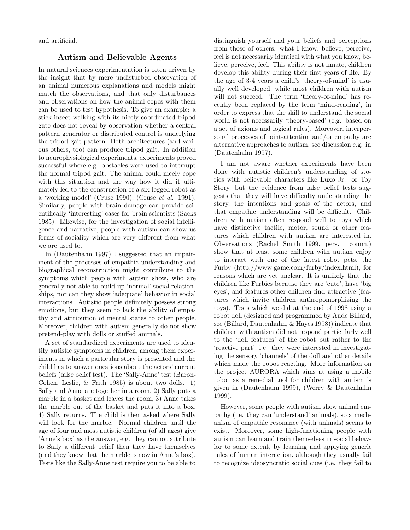and artificial.

## **Autism and Believable Agents**

In natural sciences experimentation is often driven by the insight that by mere undisturbed observation of an animal numerous explanations and models might match the observations, and that only disturbances and observations on how the animal copes with them can be used to test hypothesis. To give an example: a stick insect walking with its nicely coordinated tripod gate does not reveal by observation whether a central pattern generator or distributed control is underlying the tripod gait pattern. Both architectures (and various others, too) can produce tripod gait. In addition to neurophysiological experiments, experiments proved successful where e.g. obstacles were used to interrupt the normal tripod gait. The animal could nicely cope with this situation and the way how it did it ultimately led to the construction of a six-legged robot as a 'working model' (Cruse 1990), (Cruse et al. 1991). Similarly, people with brain damage can provide scientifically 'interesting' cases for brain scientists (Sacks 1985). Likewise, for the investigation of social intelligence and narrative, people with autism can show us forms of sociality which are very different from what we are used to.

In (Dautenhahn 1997) I suggested that an impairment of the processes of empathic understanding and biographical reconstruction might contribute to the symptoms which people with autism show, who are generally not able to build up 'normal' social relationships, nor can they show 'adequate' behavior in social interactions. Autistic people definitely possess strong emotions, but they seem to lack the ability of empathy and attribution of mental states to other people. Moreover, children with autism generally do not show pretend-play with dolls or stuffed animals.

A set of standardized experiments are used to identify autistic symptoms in children, among them experiments in which a particular story is presented and the child has to answer questions about the actors' current beliefs (false belief test). The 'Sally-Anne' test (Baron-Cohen, Leslie, & Frith 1985) is about two dolls. 1) Sally and Anne are together in a room, 2) Sally puts a marble in a basket and leaves the room, 3) Anne takes the marble out of the basket and puts it into a box, 4) Sally returns. The child is then asked where Sally will look for the marble. Normal children until the age of four and most autistic children (of all ages) give 'Anne's box' as the answer, e.g. they cannot attribute to Sally a different belief then they have themselves (and they know that the marble is now in Anne's box). Tests like the Sally-Anne test require you to be able to

distinguish yourself and your beliefs and perceptions from those of others: what I know, believe, perceive, feel is not necessarily identical with what you know, believe, perceive, feel. This ability is not innate, children develop this ability during their first years of life. By the age of 3-4 years a child's 'theory-of-mind' is usually well developed, while most children with autism will not succeed. The term 'theory-of-mind' has recently been replaced by the term 'mind-reading', in order to express that the skill to understand the social world is not necessarily 'theory-based' (e.g. based on a set of axioms and logical rules). Moreover, interpersonal processes of joint-attention and/or empathy are alternative approaches to autism, see discussion e.g. in (Dautenhahn 1997).

I am not aware whether experiments have been done with autistic children's understanding of stories with believable characters like Luxo Jr. or Toy Story, but the evidence from false belief tests suggests that they will have difficulty understanding the story, the intentions and goals of the actors, and that empathic understanding will be difficult. Children with autism often respond well to toys which have distinctive tactile, motor, sound or other features which children with autism are interested in. Observations (Rachel Smith 1999, pers. comm.) show that at least some children with autism enjoy to interact with one of the latest robot pets, the Furby (http://www.game.com/furby/index.html), for reasons which are yet unclear. It is unlikely that the children like Furbies because they are 'cute', have 'big eyes', and features other children find attractive (features which invite children anthropomorphizing the toys). Tests which we did at the end of 1998 using a robot doll (designed and programmed by Aude Billard, see (Billard, Dautenhahn, & Hayes 1998)) indicate that children with autism did not respond particularly well to the 'doll features' of the robot but rather to the 'reactive part', i.e. they were interested in investigating the sensory 'channels' of the doll and other details which made the robot reacting. More information on the project AURORA which aims at using a mobile robot as a remedial tool for children with autism is given in (Dautenhahn 1999), (Werry & Dautenhahn 1999).

However, some people with autism show animal empathy (i.e. they can 'understand' animals), so a mechanism of empathic resonance (with animals) seems to exist. Moreover, some high-functioning people with autism can learn and train themselves in social behavior to some extent, by learning and applying generic rules of human interaction, although they usually fail to recognize ideosyncratic social cues (i.e. they fail to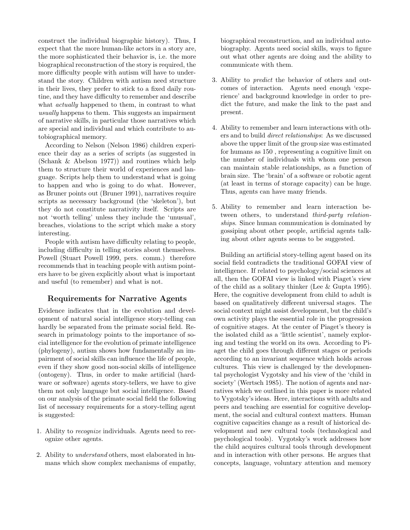construct the individual biographic history). Thus, I expect that the more human-like actors in a story are, the more sophisticated their behavior is, i.e. the more biographical reconstruction of the story is required, the more difficulty people with autism will have to understand the story. Children with autism need structure in their lives, they prefer to stick to a fixed daily routine, and they have difficulty to remember and describe what *actually* happened to them, in contrast to what usually happens to them. This suggests an impairment of narrative skills, in particular those narratives which are special and individual and which contribute to autobiographical memory.

According to Nelson (Nelson 1986) children experience their day as a series of scripts (as suggested in (Schank & Abelson 1977)) and routines which help them to structure their world of experiences and language. Scripts help them to understand what is going to happen and who is going to do what. However, as Bruner points out (Bruner 1991), narratives require scripts as necessary background (the 'skeleton'), but they do not constitute narrativity itself. Scripts are not 'worth telling' unless they include the 'unusual', breaches, violations to the script which make a story interesting.

People with autism have difficulty relating to people, including difficulty in telling stories about themselves. Powell (Stuart Powell 1999, pers. comm.) therefore recommends that in teaching people with autism pointers have to be given explicitly about what is important and useful (to remember) and what is not.

# **Requirements for Narrative Agents**

Evidence indicates that in the evolution and development of natural social intelligence story-telling can hardly be separated from the primate social field. Research in primatology points to the importance of social intelligence for the evolution of primate intelligence (phylogeny), autism shows how fundamentally an impairment of social skills can influence the life of people, even if they show good non-social skills of intelligence (ontogeny). Thus, in order to make artificial (hardware or software) agents story-tellers, we have to give them not only language but social intelligence. Based on our analysis of the primate social field the following list of necessary requirements for a story-telling agent is suggested:

- 1. Ability to recognize individuals. Agents need to recognize other agents.
- 2. Ability to understand others, most elaborated in humans which show complex mechanisms of empathy,

biographical reconstruction, and an individual autobiography. Agents need social skills, ways to figure out what other agents are doing and the ability to communicate with them.

- 3. Ability to predict the behavior of others and outcomes of interaction. Agents need enough 'experience' and background knowledge in order to predict the future, and make the link to the past and present.
- 4. Ability to remember and learn interactions with others and to build direct relationships: As we discussed above the upper limit of the group size was estimated for humans as 150 , representing a cognitive limit on the number of individuals with whom one person can maintain stable relationships, as a function of brain size. The 'brain' of a software or robotic agent (at least in terms of storage capacity) can be huge. Thus, agents can have many friends.
- 5. Ability to remember and learn interaction between others, to understand third-party relationships. Since human communication is dominated by gossiping about other people, artificial agents talking about other agents seems to be suggested.

Building an artificial story-telling agent based on its social field contradicts the traditional GOFAI view of intelligence. If related to psychology/social sciences at all, then the GOFAI view is linked with Piaget's view of the child as a solitary thinker (Lee & Gupta 1995). Here, the cognitive development from child to adult is based on qualitatively different universal stages. The social context might assist development, but the child's own activity plays the essential role in the progression of cognitive stages. At the center of Piaget's theory is the isolated child as a 'little scientist', namely exploring and testing the world on its own. According to Piaget the child goes through different stages or periods according to an invariant sequence which holds across cultures. This view is challenged by the developmental psychologist Vygotsky and his view of the 'child in society' (Wertsch 1985). The notion of agents and narratives which we outlined in this paper is more related to Vygotsky's ideas. Here, interactions with adults and peers and teaching are essential for cognitive development, the social and cultural context matters. Human cognitive capacities change as a result of historical development and new cultural tools (technological and psychological tools). Vygotsky's work addresses how the child acquires cultural tools through development and in interaction with other persons. He argues that concepts, language, voluntary attention and memory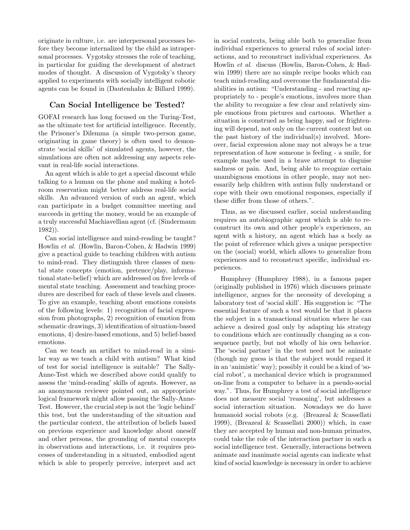originate in culture, i.e. are interpersonal processes before they become internalized by the child as intrapersonal processes. Vygotsky stresses the role of teaching, in particular for guiding the development of abstract modes of thought. A discussion of Vygotsky's theory applied to experiments with socially intelligent robotic agents can be found in (Dautenhahn & Billard 1999).

## **Can Social Intelligence be Tested?**

GOFAI research has long focused on the Turing-Test, as the ultimate test for artificial intelligence. Recently, the Prisoner's Dilemma (a simple two-person game, originating in game theory) is often used to demonstrate 'social skills' of simulated agents, however, the simulations are often not addressing any aspects relevant in real-life social interactions.

An agent which is able to get a special discount while talking to a human on the phone and making a hotelroom reservation might better address real-life social skills. An advanced version of such an agent, which can participate in a budget committee meeting and succeeds in getting the money, would be an example of a truly successful Machiavellian agent (cf. (Sindermann 1982)).

Can social intelligence and mind-reading be taught? Howlin et al. (Howlin, Baron-Cohen, & Hadwin 1999) give a practical guide to teaching children with autism to mind-read. They distinguish three classes of mental state concepts (emotion, pretence/play, informational state-belief) which are addressed on five levels of mental state teaching. Assessment and teaching procedures are described for each of these levels and classes. To give an example, teaching about emotions consists of the following levels: 1) recognition of facial expression from photographs, 2) recognition of emotion from schematic drawings, 3) identification of situation-based emotions, 4) desire-based emotions, and 5) belief-based emotions.

Can we teach an artifact to mind-read in a similar way as we teach a child with autism? What kind of test for social intelligence is suitable? The Sally-Anne-Test which we described above could qualify to assess the 'mind-reading' skills of agents. However, as an anonymous reviewer pointed out, an appropriate logical framework might allow passing the Sally-Anne-Test. However, the crucial step is not the 'logic behind' this test, but the understanding of the situation and the particular context, the attribution of beliefs based on previous experience and knowledge about oneself and other persons, the grounding of mental concepts in observations and interactions, i.e. it requires processes of understanding in a situated, embodied agent which is able to properly perceive, interpret and act

in social contexts, being able both to generalize from individual experiences to general rules of social interactions, and to reconstruct individual experiences. As Howlin et al. discuss (Howlin, Baron-Cohen, & Hadwin 1999) there are no simple recipe books which can teach mind-reading and overcome the fundamental disabilities in autism: "Understanding - and reacting appropriately to - people's emotions, involves more than the ability to recognize a few clear and relatively simple emotions from pictures and cartoons. Whether a situation is construed as being happy, sad or frightening will depend, not only on the current context but on the past history of the individual(s) involved. Moreover, facial expression alone may not always be a true representation of how someone is feeling - a smile, for example maybe used in a brave attempt to disguise sadness or pain. And, being able to recognize certain unambiguous emotions in other people, may not necessarily help children with autism fully understand or cope with their own emotional responses, especially if these differ from those of others.".

Thus, as we discussed earlier, social understanding requires an autobiographic agent which is able to reconstruct its own and other people's experiences, an agent with a history, an agent which has a body as the point of reference which gives a unique perspective on the (social) world, which allows to generalize from experiences and to reconstruct specific, individual experiences.

Humphrey (Humphrey 1988), in a famous paper (originally published in 1976) which discusses primate intelligence, argues for the necessity of developing a laboratory test of 'social skill'. His suggestion is: "The essential feature of such a test would be that it places the subject in a transactional situation where he can achieve a desired goal only by adapting his strategy to conditions which are continually changing as a consequence partly, but not wholly of his own behavior. The 'social partner' in the test need not be animate (though my guess is that the subject would regard it in an 'animistic' way); possibly it could be a kind of 'social robot', a mechanical device which is programmed on-line from a computer to behave in a pseudo-social way.". Thus, for Humphrey a test of social intelligence does not measure social 'reasoning', but addresses a social interaction situation. Nowadays we do have humanoid social robots (e.g. (Breazeal & Scassellati 1999), (Breazeal & Scassellati 2000)) which, in case they are accepted by human and non-human primates, could take the role of the interaction partner in such a social intelligence test. Generally, interactions between animate and inanimate social agents can indicate what kind of social knowledge is necessary in order to achieve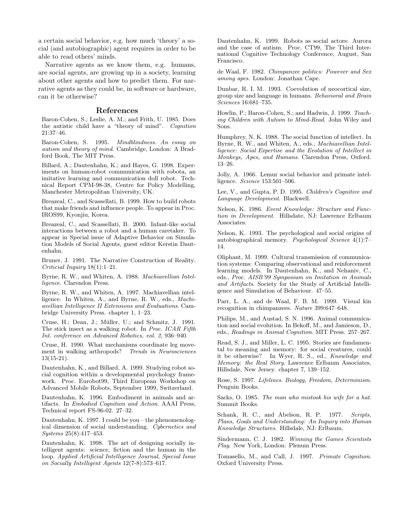a certain social behavior, e.g. how much 'theory' a social (and autobiographic) agent requires in order to be able to read others' minds.

Narrative agents as we know them, e.g. humans, are social agents, are growing up in a society, learning about other agents and how to predict them. For narrative agents as they could be, in software or hardware, can it be otherwise?

#### **References**

Baron-Cohen, S.; Leslie, A. M.; and Frith, U. 1985. Does the autistic child have a "theory of mind". Cognition 21:37–46.

Baron-Cohen, S. 1995. Mindblindness. An essay on autism and theory of mind. Cambridge, London: A Bradford Book, The MIT Press.

Billard, A.; Dautenhahn, K.; and Hayes, G. 1998. Experiments on human-robot communication with robota, an imitative learning and communication doll robot. Technical Report CPM-98-38, Centre for Policy Modelling, Manchester Metropolitan University, UK.

Breazeal, C., and Scassellati, B. 1999. How to build robots that make friends and influence people. To appear in Proc. IROS99, Kyonjiu, Korea.

Breazeal, C., and Scassellati, B. 2000. Infant-like social interactions between a robot and a human caretaker. To appear in Special issue of Adaptive Behavior on Simulation Models of Social Agents, guest editor Kerstin Dautenhahn.

Bruner, J. 1991. The Narrative Construction of Reality. Criticial Inquiry 18(1):1–21.

Byrne, R. W., and Whiten, A. 1988. Machiavellian Intelligence. Clarendon Press.

Byrne, R. W., and Whiten, A. 1997. Machiavellian intelligence. In Whiten, A., and Byrne, R. W., eds., Machiavellian Intelligence II Extensions and Evaluations. Cambridge University Press. chapter 1, 1–23.

Cruse, H.; Dean, J.; Müller, U.; and Schmitz, J. 1991. The stick insect as a walking robot. In *Proc. ICAR Fifth* Int. conference on Advanced Robotics, vol. 2, 936–940.

Cruse, H. 1990. What mechanisms coordinate leg movement in walking arthropods? Trends in Neurosciences  $13(15-21)$ .

Dautenhahn, K., and Billard, A. 1999. Studying robot social cognition within a developmental psychology framework. Proc. Eurobot99, Third European Workshop on Advanced Mobile Robots, September 1999, Switzerland.

Dautenhahn, K. 1996. Embodiment in animals and artifacts. In Embodied Cognition and Action. AAAI Press, Technical report FS-96-02. 27–32.

Dautenhahn, K. 1997. I could be you – the phenomenological dimension of social understanding. Cybernetics and Systems 25(8):417–453.

Dautenhahn, K. 1998. The art of designing socially intelligent agents: science, fiction and the human in the loop. Applied Artificial Intelligence Journal, Special Issue on Socially Intelligent Agents 12(7-8):573–617.

Dautenhahn, K. 1999. Robots as social actors: Aurora and the case of autism. Proc. CT99, The Third International Cognitive Technology Conference, August, San Francisco.

de Waal, F. 1982. Chimpanzee politics: Powever and Sex among apes. London: Jonathan Cape.

Dunbar, R. I. M. 1993. Coevolution of neocortical size, group size and language in humans. Behavioral and Brain Sciences 16:681–735.

Howlin, P.; Baron-Cohen, S.; and Hadwin, J. 1999. Teaching Children with Autism to Mind-Read. John Wiley and Sons.

Humphrey, N. K. 1988. The social function of intellect. In Byrne, R. W., and Whiten, A., eds., Machiavellian Intelligence: Social Expertise and the Evolution of Intellect in Monkeys, Apes, and Humans. Clarendon Press, Oxford. 13–26.

Jolly, A. 1966. Lemur social behavior and primate intelligence. Science 153:501–506.

Lee, V., and Gupta, P. D. 1995. Children's Cognitive and Language Development. Blackwell.

Nelson, K. 1986. Event Knowledge: Structure and Function in Development. Hillsdate, NJ: Lawrence Erlbaum Associates.

Nelson, K. 1993. The psychological and social origins of autobiographical memory. Psychological Science 4(1):7– 14.

Oliphant, M. 1999. Cultural transmission of communication systems: Comparing observational and reinforcement learning models. In Dautenhahn, K., and Nehaniv, C., eds., Proc. AISB'99 Symposium on Imitation in Animals and Artifacts. Society for the Study of Artificial Intelligence and Simulation of Behaviour. 47–55.

Parr, L. A., and de Waal, F. B. M. 1999. Visual kin recognition in chimpanzees. Nature 399:647–648.

Philips, M., and Austad, S. N. 1996. Animal communication and social evolution. In Bekoff, M., and Jamieson, D., eds., Readings in Animal Cognition. MIT Press. 257–267.

Read, S. J., and Miller, L. C. 1995. Stories are fundamental to meaning and memory: for social creatures, could it be otherwise? In Wyer, R. S., ed., Knowledge and Memory: the Real Story. Lawrence Erlbaum Associates, Hillsdale, New Jersey. chapter 7, 139–152.

Rose, S. 1997. Lifelines. Biology, Freedom, Determinism. Penguin Books.

Sacks, O. 1985. The man who mistook his wife for a hat. Summit Books.

Schank, R. C., and Abelson, R. P. 1977. Scripts, Plans, Goals and Understanding: An Inquiry into Human Knowledge Structures. Hillsdale, NJ: Erlbaum.

Sindermann, C. J. 1982. Winning the Games Scientists Play. New York, London: Plenum Press.

Tomasello, M., and Call, J. 1997. Primate Cognition. Oxford University Press.